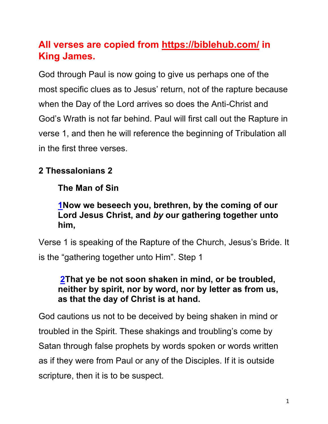## **All verses are copied from https://biblehub.com/ in King James.**

God through Paul is now going to give us perhaps one of the most specific clues as to Jesus' return, not of the rapture because when the Day of the Lord arrives so does the Anti-Christ and God's Wrath is not far behind. Paul will first call out the Rapture in verse 1, and then he will reference the beginning of Tribulation all in the first three verses.

## **2 Thessalonians 2**

## **The Man of Sin**

## **1Now we beseech you, brethren, by the coming of our Lord Jesus Christ, and** *by* **our gathering together unto him,**

Verse 1 is speaking of the Rapture of the Church, Jesus's Bride. It is the "gathering together unto Him". Step 1

## **2That ye be not soon shaken in mind, or be troubled, neither by spirit, nor by word, nor by letter as from us, as that the day of Christ is at hand.**

God cautions us not to be deceived by being shaken in mind or troubled in the Spirit. These shakings and troubling's come by Satan through false prophets by words spoken or words written as if they were from Paul or any of the Disciples. If it is outside scripture, then it is to be suspect.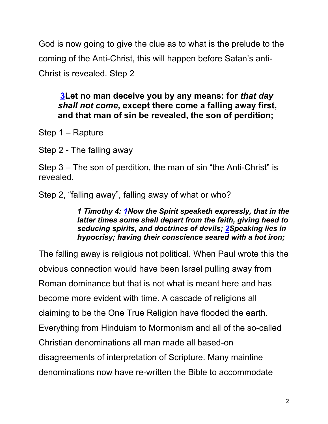God is now going to give the clue as to what is the prelude to the coming of the Anti-Christ, this will happen before Satan's anti-Christ is revealed. Step 2

## **3Let no man deceive you by any means: for** *that day shall not come***, except there come a falling away first, and that man of sin be revealed, the son of perdition;**

Step 1 – Rapture

Step 2 - The falling away

Step 3 – The son of perdition, the man of sin "the Anti-Christ" is revealed.

Step 2, "falling away", falling away of what or who?

*1 Timothy 4: 1Now the Spirit speaketh expressly, that in the latter times some shall depart from the faith, giving heed to seducing spirits, and doctrines of devils; 2Speaking lies in hypocrisy; having their conscience seared with a hot iron;* 

The falling away is religious not political. When Paul wrote this the obvious connection would have been Israel pulling away from Roman dominance but that is not what is meant here and has become more evident with time. A cascade of religions all claiming to be the One True Religion have flooded the earth. Everything from Hinduism to Mormonism and all of the so-called Christian denominations all man made all based-on disagreements of interpretation of Scripture. Many mainline denominations now have re-written the Bible to accommodate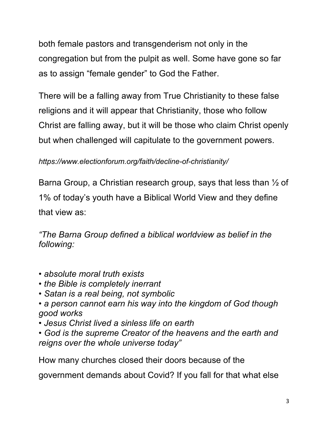both female pastors and transgenderism not only in the congregation but from the pulpit as well. Some have gone so far as to assign "female gender" to God the Father.

There will be a falling away from True Christianity to these false religions and it will appear that Christianity, those who follow Christ are falling away, but it will be those who claim Christ openly but when challenged will capitulate to the government powers.

*https://www.electionforum.org/faith/decline-of-christianity/*

Barna Group, a Christian research group, says that less than ½ of 1% of today's youth have a Biblical World View and they define that view as:

*"The Barna Group defined a biblical worldview as belief in the following:*

- *absolute moral truth exists*
- *the Bible is completely inerrant*
- *Satan is a real being, not symbolic*
- *a person cannot earn his way into the kingdom of God though good works*
- *Jesus Christ lived a sinless life on earth*
- *God is the supreme Creator of the heavens and the earth and reigns over the whole universe today"*

How many churches closed their doors because of the

government demands about Covid? If you fall for that what else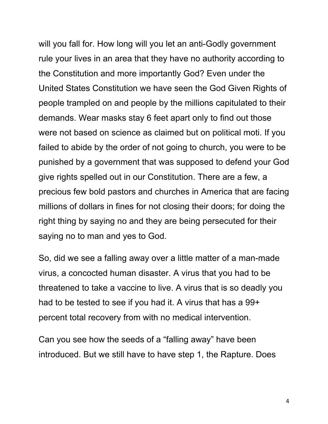will you fall for. How long will you let an anti-Godly government rule your lives in an area that they have no authority according to the Constitution and more importantly God? Even under the United States Constitution we have seen the God Given Rights of people trampled on and people by the millions capitulated to their demands. Wear masks stay 6 feet apart only to find out those were not based on science as claimed but on political moti. If you failed to abide by the order of not going to church, you were to be punished by a government that was supposed to defend your God give rights spelled out in our Constitution. There are a few, a precious few bold pastors and churches in America that are facing millions of dollars in fines for not closing their doors; for doing the right thing by saying no and they are being persecuted for their saying no to man and yes to God.

So, did we see a falling away over a little matter of a man-made virus, a concocted human disaster. A virus that you had to be threatened to take a vaccine to live. A virus that is so deadly you had to be tested to see if you had it. A virus that has a 99+ percent total recovery from with no medical intervention.

Can you see how the seeds of a "falling away" have been introduced. But we still have to have step 1, the Rapture. Does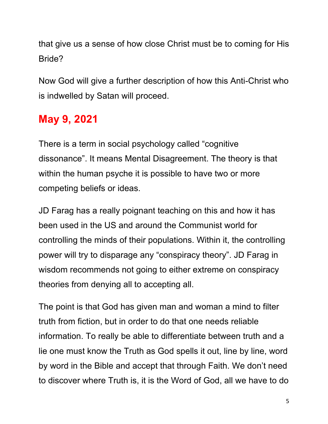that give us a sense of how close Christ must be to coming for His Bride?

Now God will give a further description of how this Anti-Christ who is indwelled by Satan will proceed.

# **May 9, 2021**

There is a term in social psychology called "cognitive dissonance". It means Mental Disagreement. The theory is that within the human psyche it is possible to have two or more competing beliefs or ideas.

JD Farag has a really poignant teaching on this and how it has been used in the US and around the Communist world for controlling the minds of their populations. Within it, the controlling power will try to disparage any "conspiracy theory". JD Farag in wisdom recommends not going to either extreme on conspiracy theories from denying all to accepting all.

The point is that God has given man and woman a mind to filter truth from fiction, but in order to do that one needs reliable information. To really be able to differentiate between truth and a lie one must know the Truth as God spells it out, line by line, word by word in the Bible and accept that through Faith. We don't need to discover where Truth is, it is the Word of God, all we have to do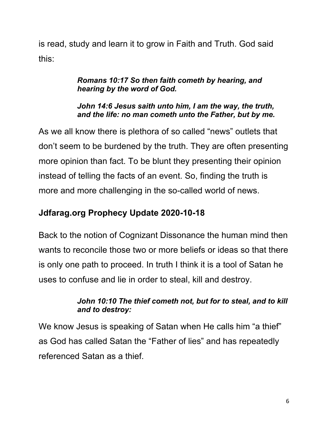is read, study and learn it to grow in Faith and Truth. God said this:

#### *Romans 10:17 So then faith cometh by hearing, and hearing by the word of God.*

#### *John 14:6 Jesus saith unto him, I am the way, the truth, and the life: no man cometh unto the Father, but by me.*

As we all know there is plethora of so called "news" outlets that don't seem to be burdened by the truth. They are often presenting more opinion than fact. To be blunt they presenting their opinion instead of telling the facts of an event. So, finding the truth is more and more challenging in the so-called world of news.

## **Jdfarag.org Prophecy Update 2020-10-18**

Back to the notion of Cognizant Dissonance the human mind then wants to reconcile those two or more beliefs or ideas so that there is only one path to proceed. In truth I think it is a tool of Satan he uses to confuse and lie in order to steal, kill and destroy.

## *John 10:10 The thief cometh not, but for to steal, and to kill and to destroy:*

We know Jesus is speaking of Satan when He calls him "a thief" as God has called Satan the "Father of lies" and has repeatedly referenced Satan as a thief.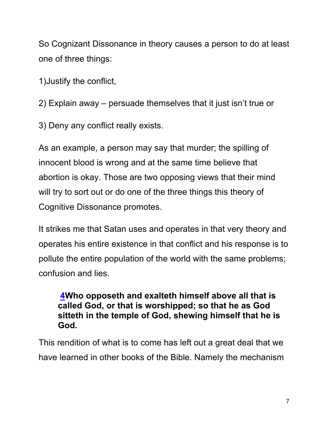So Cognizant Dissonance in theory causes a person to do at least one of three things:

1)Justify the conflict,

2) Explain away – persuade themselves that it just isn't true or

3) Deny any conflict really exists.

As an example, a person may say that murder; the spilling of innocent blood is wrong and at the same time believe that abortion is okay. Those are two opposing views that their mind will try to sort out or do one of the three things this theory of Cognitive Dissonance promotes.

It strikes me that Satan uses and operates in that very theory and operates his entire existence in that conflict and his response is to pollute the entire population of the world with the same problems; confusion and lies.

**4Who opposeth and exalteth himself above all that is called God, or that is worshipped; so that he as God sitteth in the temple of God, shewing himself that he is God.**

This rendition of what is to come has left out a great deal that we have learned in other books of the Bible. Namely the mechanism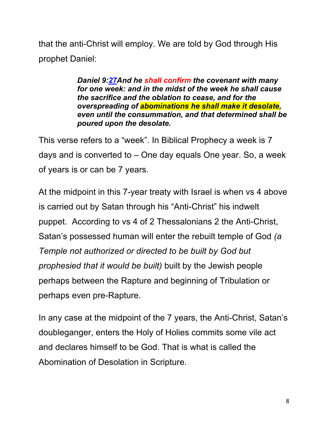that the anti-Christ will employ. We are told by God through His prophet Daniel:

> *Daniel 9:27And he shall confirm the covenant with many for one week: and in the midst of the week he shall cause the sacrifice and the oblation to cease, and for the overspreading of abominations he shall make it desolate, even until the consummation, and that determined shall be poured upon the desolate.*

This verse refers to a "week". In Biblical Prophecy a week is 7 days and is converted to – One day equals One year. So, a week of years is or can be 7 years.

At the midpoint in this 7-year treaty with Israel is when vs 4 above is carried out by Satan through his "Anti-Christ" his indwelt puppet. According to vs 4 of 2 Thessalonians 2 the Anti-Christ, Satan's possessed human will enter the rebuilt temple of God *(a Temple not authorized or directed to be built by God but prophesied that it would be built)* built by the Jewish people perhaps between the Rapture and beginning of Tribulation or perhaps even pre-Rapture.

In any case at the midpoint of the 7 years, the Anti-Christ, Satan's doubleganger, enters the Holy of Holies commits some vile act and declares himself to be God. That is what is called the Abomination of Desolation in Scripture.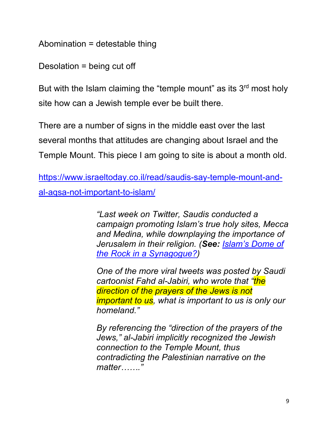Abomination = detestable thing

Desolation = being cut off

But with the Islam claiming the "temple mount" as its 3<sup>rd</sup> most holy site how can a Jewish temple ever be built there.

There are a number of signs in the middle east over the last several months that attitudes are changing about Israel and the Temple Mount. This piece I am going to site is about a month old.

https://www.israeltoday.co.il/read/saudis-say-temple-mount-andal-aqsa-not-important-to-islam/

> *"Last week on Twitter, Saudis conducted a campaign promoting Islam's true holy sites, Mecca and Medina, while downplaying the importance of Jerusalem in their religion. (See: Islam's Dome of the Rock in a Synagogue?)*

> *One of the more viral tweets was posted by Saudi cartoonist Fahd al-Jabiri, who wrote that "the direction of the prayers of the Jews is not important to us, what is important to us is only our homeland."*

*By referencing the "direction of the prayers of the Jews," al-Jabiri implicitly recognized the Jewish connection to the Temple Mount, thus contradicting the Palestinian narrative on the matter……."*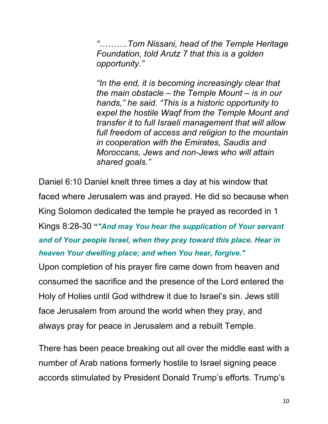*"……….Tom Nissani, head of the Temple Heritage Foundation, told Arutz 7 that this is a golden opportunity."*

*"In the end, it is becoming increasingly clear that the main obstacle – the Temple Mount – is in our hands," he said. "This is a historic opportunity to expel the hostile Waqf from the Temple Mount and transfer it to full Israeli management that will allow full freedom of access and religion to the mountain in cooperation with the Emirates, Saudis and Moroccans, Jews and non-Jews who will attain shared goals."*

Daniel 6:10 Daniel knelt three times a day at his window that faced where Jerusalem was and prayed. He did so because when King Solomon dedicated the temple he prayed as recorded in 1 Kings 8:28-30 **"***"And may You hear the supplication of Your servant and of Your people Israel, when they pray toward this place. Hear in heaven Your dwelling place; and when You hear, forgive."* 

Upon completion of his prayer fire came down from heaven and consumed the sacrifice and the presence of the Lord entered the Holy of Holies until God withdrew it due to Israel's sin. Jews still face Jerusalem from around the world when they pray, and always pray for peace in Jerusalem and a rebuilt Temple.

There has been peace breaking out all over the middle east with a number of Arab nations formerly hostile to Israel signing peace accords stimulated by President Donald Trump's efforts. Trump's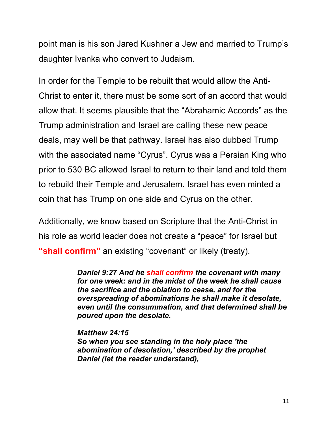point man is his son Jared Kushner a Jew and married to Trump's daughter Ivanka who convert to Judaism.

In order for the Temple to be rebuilt that would allow the Anti-Christ to enter it, there must be some sort of an accord that would allow that. It seems plausible that the "Abrahamic Accords" as the Trump administration and Israel are calling these new peace deals, may well be that pathway. Israel has also dubbed Trump with the associated name "Cyrus". Cyrus was a Persian King who prior to 530 BC allowed Israel to return to their land and told them to rebuild their Temple and Jerusalem. Israel has even minted a coin that has Trump on one side and Cyrus on the other.

Additionally, we know based on Scripture that the Anti-Christ in his role as world leader does not create a "peace" for Israel but **"shall confirm"** an existing "covenant" or likely (treaty).

> *Daniel 9:27 And he shall confirm the covenant with many for one week: and in the midst of the week he shall cause the sacrifice and the oblation to cease, and for the overspreading of abominations he shall make it desolate, even until the consummation, and that determined shall be poured upon the desolate.*

*Matthew 24:15 So when you see standing in the holy place 'the abomination of desolation,' described by the prophet Daniel (let the reader understand),*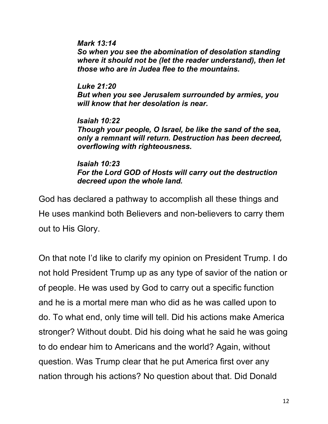*Mark 13:14 So when you see the abomination of desolation standing where it should not be (let the reader understand), then let those who are in Judea flee to the mountains.*

*Luke 21:20 But when you see Jerusalem surrounded by armies, you will know that her desolation is near.*

*Isaiah 10:22 Though your people, O Israel, be like the sand of the sea, only a remnant will return. Destruction has been decreed, overflowing with righteousness.*

#### *Isaiah 10:23 For the Lord GOD of Hosts will carry out the destruction decreed upon the whole land.*

God has declared a pathway to accomplish all these things and He uses mankind both Believers and non-believers to carry them out to His Glory.

On that note I'd like to clarify my opinion on President Trump. I do not hold President Trump up as any type of savior of the nation or of people. He was used by God to carry out a specific function and he is a mortal mere man who did as he was called upon to do. To what end, only time will tell. Did his actions make America stronger? Without doubt. Did his doing what he said he was going to do endear him to Americans and the world? Again, without question. Was Trump clear that he put America first over any nation through his actions? No question about that. Did Donald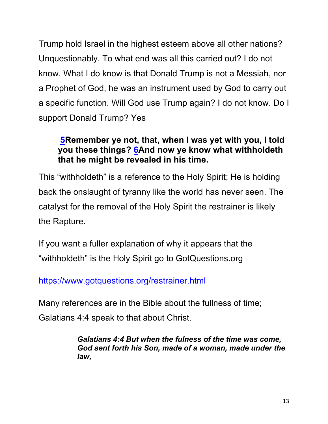Trump hold Israel in the highest esteem above all other nations? Unquestionably. To what end was all this carried out? I do not know. What I do know is that Donald Trump is not a Messiah, nor a Prophet of God, he was an instrument used by God to carry out a specific function. Will God use Trump again? I do not know. Do I support Donald Trump? Yes

## **5Remember ye not, that, when I was yet with you, I told you these things? 6And now ye know what withholdeth that he might be revealed in his time.**

This "withholdeth" is a reference to the Holy Spirit; He is holding back the onslaught of tyranny like the world has never seen. The catalyst for the removal of the Holy Spirit the restrainer is likely the Rapture.

If you want a fuller explanation of why it appears that the "withholdeth" is the Holy Spirit go to GotQuestions.org

https://www.gotquestions.org/restrainer.html

Many references are in the Bible about the fullness of time;

Galatians 4:4 speak to that about Christ.

*Galatians 4:4 But when the fulness of the time was come, God sent forth his Son, made of a woman, made under the law,*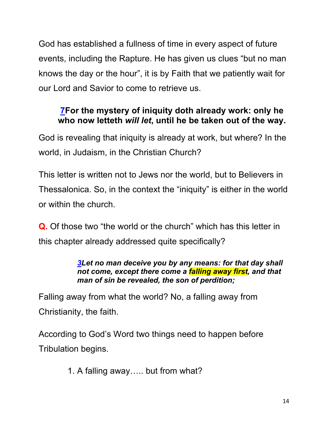God has established a fullness of time in every aspect of future events, including the Rapture. He has given us clues "but no man knows the day or the hour", it is by Faith that we patiently wait for our Lord and Savior to come to retrieve us.

## **7For the mystery of iniquity doth already work: only he who now letteth** *will let***, until he be taken out of the way.**

God is revealing that iniquity is already at work, but where? In the world, in Judaism, in the Christian Church?

This letter is written not to Jews nor the world, but to Believers in Thessalonica. So, in the context the "iniquity" is either in the world or within the church.

**Q.** Of those two "the world or the church" which has this letter in this chapter already addressed quite specifically?

#### *3Let no man deceive you by any means: for that day shall not come, except there come a falling away first, and that man of sin be revealed, the son of perdition;*

Falling away from what the world? No, a falling away from Christianity, the faith.

According to God's Word two things need to happen before Tribulation begins.

1. A falling away….. but from what?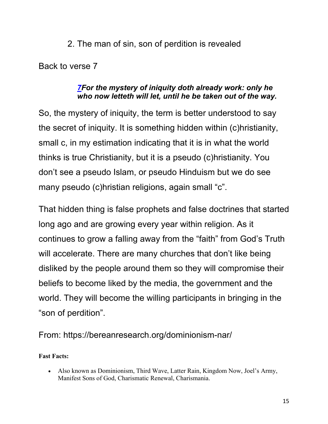## 2. The man of sin, son of perdition is revealed

Back to verse 7

#### *7For the mystery of iniquity doth already work: only he who now letteth will let, until he be taken out of the way.*

So, the mystery of iniquity, the term is better understood to say the secret of iniquity. It is something hidden within (c)hristianity, small c, in my estimation indicating that it is in what the world thinks is true Christianity, but it is a pseudo (c)hristianity. You don't see a pseudo Islam, or pseudo Hinduism but we do see many pseudo (c)hristian religions, again small "c".

That hidden thing is false prophets and false doctrines that started long ago and are growing every year within religion. As it continues to grow a falling away from the "faith" from God's Truth will accelerate. There are many churches that don't like being disliked by the people around them so they will compromise their beliefs to become liked by the media, the government and the world. They will become the willing participants in bringing in the "son of perdition".

From: https://bereanresearch.org/dominionism-nar/

**Fast Facts:**

• Also known as Dominionism, Third Wave, Latter Rain, Kingdom Now, Joel's Army, Manifest Sons of God, Charismatic Renewal, Charismania.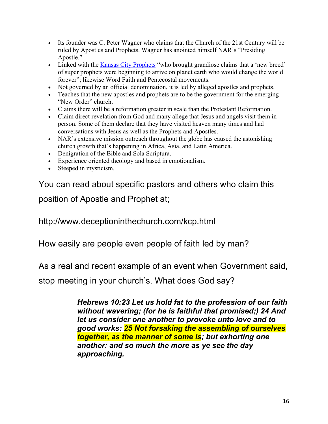- Its founder was C. Peter Wagner who claims that the Church of the 21st Century will be ruled by Apostles and Prophets. Wagner has anointed himself NAR's "Presiding Apostle."
- Linked with the Kansas City Prophets "who brought grandiose claims that a 'new breed' of super prophets were beginning to arrive on planet earth who would change the world forever"; likewise Word Faith and Pentecostal movements.
- Not governed by an official denomination, it is led by alleged apostles and prophets.
- Teaches that the new apostles and prophets are to be the government for the emerging "New Order" church.
- Claims there will be a reformation greater in scale than the Protestant Reformation.
- Claim direct revelation from God and many allege that Jesus and angels visit them in person. Some of them declare that they have visited heaven many times and had conversations with Jesus as well as the Prophets and Apostles.
- NAR's extensive mission outreach throughout the globe has caused the astonishing church growth that's happening in Africa, Asia, and Latin America.
- Denigration of the Bible and Sola Scriptura.
- Experience oriented theology and based in emotionalism.
- Steeped in mysticism.

You can read about specific pastors and others who claim this position of Apostle and Prophet at;

http://www.deceptioninthechurch.com/kcp.html

How easily are people even people of faith led by man?

As a real and recent example of an event when Government said,

stop meeting in your church's. What does God say?

*Hebrews 10:23 Let us hold fat to the profession of our faith without wavering; (for he is faithful that promised;) 24 And let us consider one another to provoke unto love and to good works: 25 Not forsaking the assembling of ourselves together, as the manner of some is; but exhorting one another: and so much the more as ye see the day approaching.*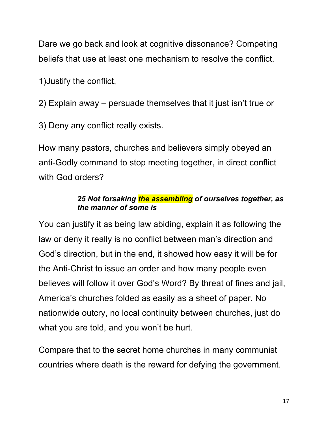Dare we go back and look at cognitive dissonance? Competing beliefs that use at least one mechanism to resolve the conflict.

1)Justify the conflict,

2) Explain away – persuade themselves that it just isn't true or

3) Deny any conflict really exists.

How many pastors, churches and believers simply obeyed an anti-Godly command to stop meeting together, in direct conflict with God orders?

#### *25 Not forsaking the assembling of ourselves together, as the manner of some is*

You can justify it as being law abiding, explain it as following the law or deny it really is no conflict between man's direction and God's direction, but in the end, it showed how easy it will be for the Anti-Christ to issue an order and how many people even believes will follow it over God's Word? By threat of fines and jail, America's churches folded as easily as a sheet of paper. No nationwide outcry, no local continuity between churches, just do what you are told, and you won't be hurt.

Compare that to the secret home churches in many communist countries where death is the reward for defying the government.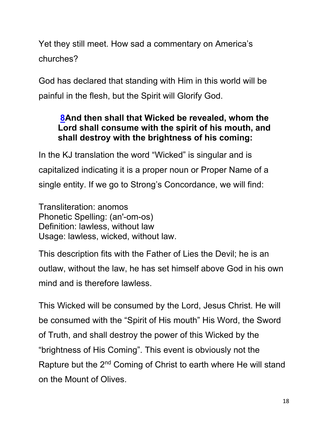Yet they still meet. How sad a commentary on America's churches?

God has declared that standing with Him in this world will be painful in the flesh, but the Spirit will Glorify God.

## **8And then shall that Wicked be revealed, whom the Lord shall consume with the spirit of his mouth, and shall destroy with the brightness of his coming:**

In the KJ translation the word "Wicked" is singular and is capitalized indicating it is a proper noun or Proper Name of a single entity. If we go to Strong's Concordance, we will find:

Transliteration: anomos Phonetic Spelling: (an'-om-os) Definition: lawless, without law Usage: lawless, wicked, without law.

This description fits with the Father of Lies the Devil; he is an outlaw, without the law, he has set himself above God in his own mind and is therefore lawless.

This Wicked will be consumed by the Lord, Jesus Christ. He will be consumed with the "Spirit of His mouth" His Word, the Sword of Truth, and shall destroy the power of this Wicked by the "brightness of His Coming". This event is obviously not the Rapture but the 2<sup>nd</sup> Coming of Christ to earth where He will stand on the Mount of Olives.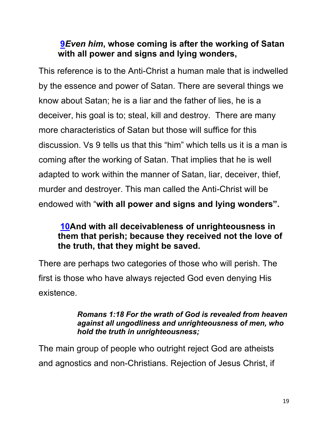## **9***Even him***, whose coming is after the working of Satan with all power and signs and lying wonders,**

This reference is to the Anti-Christ a human male that is indwelled by the essence and power of Satan. There are several things we know about Satan; he is a liar and the father of lies, he is a deceiver, his goal is to; steal, kill and destroy. There are many more characteristics of Satan but those will suffice for this discussion. Vs 9 tells us that this "him" which tells us it is a man is coming after the working of Satan. That implies that he is well adapted to work within the manner of Satan, liar, deceiver, thief, murder and destroyer. This man called the Anti-Christ will be endowed with "**with all power and signs and lying wonders".**

## **10And with all deceivableness of unrighteousness in them that perish; because they received not the love of the truth, that they might be saved.**

There are perhaps two categories of those who will perish. The first is those who have always rejected God even denying His existence.

#### *Romans 1:18 For the wrath of God is revealed from heaven against all ungodliness and unrighteousness of men, who hold the truth in unrighteousness;*

The main group of people who outright reject God are atheists and agnostics and non-Christians. Rejection of Jesus Christ, if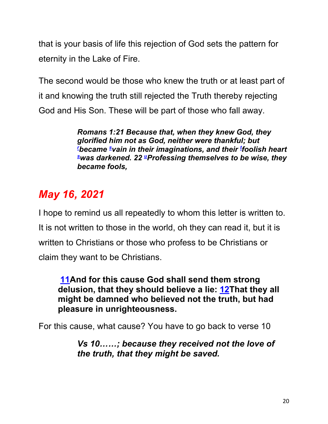that is your basis of life this rejection of God sets the pattern for eternity in the Lake of Fire.

The second would be those who knew the truth or at least part of it and knowing the truth still rejected the Truth thereby rejecting God and His Son. These will be part of those who fall away.

> *Romans 1:21 Because that, when they knew God, they glorified him not as God, neither were thankful; but - Lecame <sup>s</sup>vain in their imaginations, and their <sup>t</sup>foolish heart⊻ s was darkened. 22 uProfessing themselves to be wise, they became fools,*

# *May 16, 2021*

I hope to remind us all repeatedly to whom this letter is written to. It is not written to those in the world, oh they can read it, but it is written to Christians or those who profess to be Christians or claim they want to be Christians.

**11And for this cause God shall send them strong delusion, that they should believe a lie: 12That they all might be damned who believed not the truth, but had pleasure in unrighteousness.**

For this cause, what cause? You have to go back to verse 10

*Vs 10……; because they received not the love of the truth, that they might be saved.*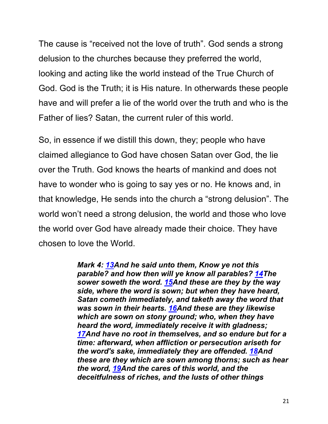The cause is "received not the love of truth". God sends a strong delusion to the churches because they preferred the world, looking and acting like the world instead of the True Church of God. God is the Truth; it is His nature. In otherwards these people have and will prefer a lie of the world over the truth and who is the Father of lies? Satan, the current ruler of this world.

So, in essence if we distill this down, they; people who have claimed allegiance to God have chosen Satan over God, the lie over the Truth. God knows the hearts of mankind and does not have to wonder who is going to say yes or no. He knows and, in that knowledge, He sends into the church a "strong delusion". The world won't need a strong delusion, the world and those who love the world over God have already made their choice. They have chosen to love the World.

> *Mark 4: 13And he said unto them, Know ye not this parable? and how then will ye know all parables? 14The sower soweth the word. 15And these are they by the way side, where the word is sown; but when they have heard, Satan cometh immediately, and taketh away the word that was sown in their hearts. 16And these are they likewise which are sown on stony ground; who, when they have heard the word, immediately receive it with gladness; 17And have no root in themselves, and so endure but for a time: afterward, when affliction or persecution ariseth for the word's sake, immediately they are offended. 18And these are they which are sown among thorns; such as hear the word, 19And the cares of this world, and the deceitfulness of riches, and the lusts of other things*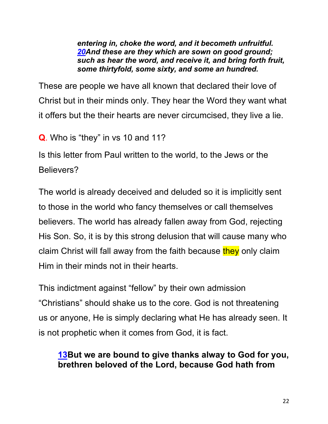*entering in, choke the word, and it becometh unfruitful. 20And these are they which are sown on good ground; such as hear the word, and receive it, and bring forth fruit, some thirtyfold, some sixty, and some an hundred.*

These are people we have all known that declared their love of Christ but in their minds only. They hear the Word they want what it offers but the their hearts are never circumcised, they live a lie.

**Q**. Who is "they" in vs 10 and 11?

Is this letter from Paul written to the world, to the Jews or the Believers?

The world is already deceived and deluded so it is implicitly sent to those in the world who fancy themselves or call themselves believers. The world has already fallen away from God, rejecting His Son. So, it is by this strong delusion that will cause many who claim Christ will fall away from the faith because they only claim Him in their minds not in their hearts.

This indictment against "fellow" by their own admission "Christians" should shake us to the core. God is not threatening us or anyone, He is simply declaring what He has already seen. It is not prophetic when it comes from God, it is fact.

## **13But we are bound to give thanks alway to God for you, brethren beloved of the Lord, because God hath from**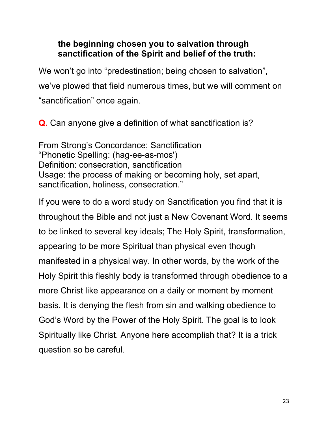### **the beginning chosen you to salvation through sanctification of the Spirit and belief of the truth:**

We won't go into "predestination; being chosen to salvation", we've plowed that field numerous times, but we will comment on "sanctification" once again.

**Q.** Can anyone give a definition of what sanctification is?

From Strong's Concordance; Sanctification "Phonetic Spelling: (hag-ee-as-mos') Definition: consecration, sanctification Usage: the process of making or becoming holy, set apart, sanctification, holiness, consecration."

If you were to do a word study on Sanctification you find that it is throughout the Bible and not just a New Covenant Word. It seems to be linked to several key ideals; The Holy Spirit, transformation, appearing to be more Spiritual than physical even though manifested in a physical way. In other words, by the work of the Holy Spirit this fleshly body is transformed through obedience to a more Christ like appearance on a daily or moment by moment basis. It is denying the flesh from sin and walking obedience to God's Word by the Power of the Holy Spirit. The goal is to look Spiritually like Christ. Anyone here accomplish that? It is a trick question so be careful.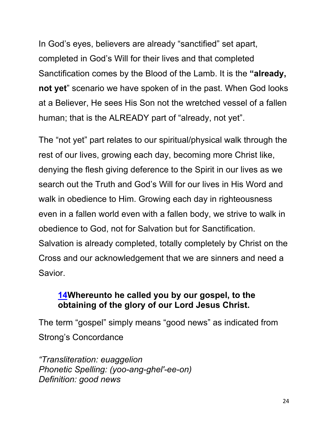In God's eyes, believers are already "sanctified" set apart, completed in God's Will for their lives and that completed Sanctification comes by the Blood of the Lamb. It is the **"already, not yet**" scenario we have spoken of in the past. When God looks at a Believer, He sees His Son not the wretched vessel of a fallen human; that is the ALREADY part of "already, not yet".

The "not yet" part relates to our spiritual/physical walk through the rest of our lives, growing each day, becoming more Christ like, denying the flesh giving deference to the Spirit in our lives as we search out the Truth and God's Will for our lives in His Word and walk in obedience to Him. Growing each day in righteousness even in a fallen world even with a fallen body, we strive to walk in obedience to God, not for Salvation but for Sanctification. Salvation is already completed, totally completely by Christ on the Cross and our acknowledgement that we are sinners and need a Savior.

#### **14Whereunto he called you by our gospel, to the obtaining of the glory of our Lord Jesus Christ.**

The term "gospel" simply means "good news" as indicated from Strong's Concordance

*"Transliteration: euaggelion Phonetic Spelling: (yoo-ang-ghel'-ee-on) Definition: good news*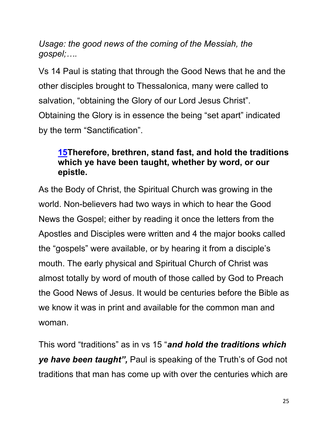*Usage: the good news of the coming of the Messiah, the gospel;….*

Vs 14 Paul is stating that through the Good News that he and the other disciples brought to Thessalonica, many were called to salvation, "obtaining the Glory of our Lord Jesus Christ". Obtaining the Glory is in essence the being "set apart" indicated by the term "Sanctification".

## **15Therefore, brethren, stand fast, and hold the traditions which ye have been taught, whether by word, or our epistle.**

As the Body of Christ, the Spiritual Church was growing in the world. Non-believers had two ways in which to hear the Good News the Gospel; either by reading it once the letters from the Apostles and Disciples were written and 4 the major books called the "gospels" were available, or by hearing it from a disciple's mouth. The early physical and Spiritual Church of Christ was almost totally by word of mouth of those called by God to Preach the Good News of Jesus. It would be centuries before the Bible as we know it was in print and available for the common man and woman.

This word "traditions" as in vs 15 "*and hold the traditions which ye have been taught",* Paul is speaking of the Truth's of God not traditions that man has come up with over the centuries which are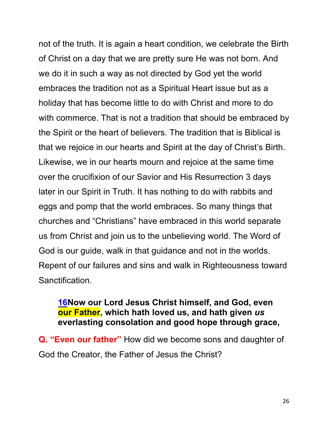not of the truth. It is again a heart condition, we celebrate the Birth of Christ on a day that we are pretty sure He was not born. And we do it in such a way as not directed by God yet the world embraces the tradition not as a Spiritual Heart issue but as a holiday that has become little to do with Christ and more to do with commerce. That is not a tradition that should be embraced by the Spirit or the heart of believers. The tradition that is Biblical is that we rejoice in our hearts and Spirit at the day of Christ's Birth. Likewise, we in our hearts mourn and rejoice at the same time over the crucifixion of our Savior and His Resurrection 3 days later in our Spirit in Truth. It has nothing to do with rabbits and eggs and pomp that the world embraces. So many things that churches and "Christians" have embraced in this world separate us from Christ and join us to the unbelieving world. The Word of God is our guide, walk in that guidance and not in the worlds. Repent of our failures and sins and walk in Righteousness toward Sanctification.

#### **16Now our Lord Jesus Christ himself, and God, even our Father, which hath loved us, and hath given** *us* **everlasting consolation and good hope through grace,**

**Q. "Even our father"** How did we become sons and daughter of God the Creator, the Father of Jesus the Christ?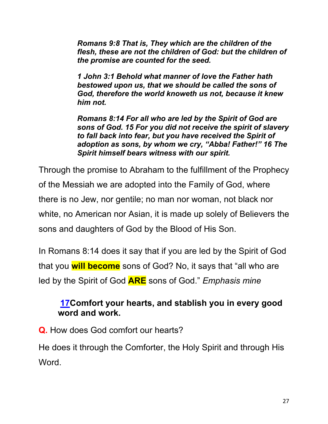*Romans 9:8 That is, They which are the children of the flesh, these are not the children of God: but the children of the promise are counted for the seed.*

*1 John 3:1 Behold what manner of love the Father hath bestowed upon us, that we should be called the sons of God, therefore the world knoweth us not, because it knew him not.* 

*Romans 8:14 For all who are led by the Spirit of God are sons of God. 15 For you did not receive the spirit of slavery to fall back into fear, but you have received the Spirit of adoption as sons, by whom we cry, "Abba! Father!" 16 The Spirit himself bears witness with our spirit.* 

Through the promise to Abraham to the fulfillment of the Prophecy of the Messiah we are adopted into the Family of God, where there is no Jew, nor gentile; no man nor woman, not black nor white, no American nor Asian, it is made up solely of Believers the sons and daughters of God by the Blood of His Son.

In Romans 8:14 does it say that if you are led by the Spirit of God that you **will become** sons of God? No, it says that "all who are led by the Spirit of God **ARE** sons of God." *Emphasis mine*

## **17Comfort your hearts, and stablish you in every good word and work.**

**Q.** How does God comfort our hearts?

He does it through the Comforter, the Holy Spirit and through His Word.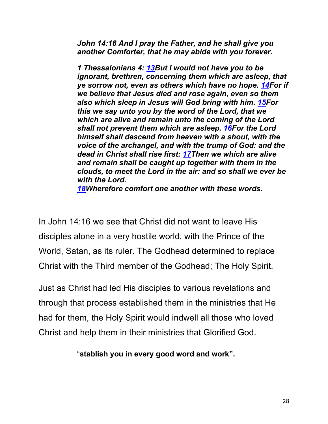*John 14:16 And I pray the Father, and he shall give you another Comforter, that he may abide with you forever.* 

*1 Thessalonians 4: 13But I would not have you to be ignorant, brethren, concerning them which are asleep, that ye sorrow not, even as others which have no hope. 14For if we believe that Jesus died and rose again, even so them also which sleep in Jesus will God bring with him. 15For this we say unto you by the word of the Lord, that we which are alive and remain unto the coming of the Lord shall not prevent them which are asleep. 16For the Lord himself shall descend from heaven with a shout, with the voice of the archangel, and with the trump of God: and the dead in Christ shall rise first: 17Then we which are alive and remain shall be caught up together with them in the clouds, to meet the Lord in the air: and so shall we ever be with the Lord.*

*18Wherefore comfort one another with these words.*

In John 14:16 we see that Christ did not want to leave His disciples alone in a very hostile world, with the Prince of the World, Satan, as its ruler. The Godhead determined to replace Christ with the Third member of the Godhead; The Holy Spirit.

Just as Christ had led His disciples to various revelations and through that process established them in the ministries that He had for them, the Holy Spirit would indwell all those who loved Christ and help them in their ministries that Glorified God.

"**stablish you in every good word and work".**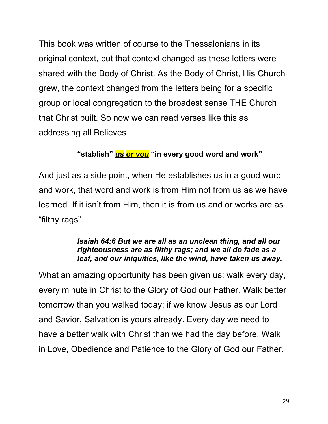This book was written of course to the Thessalonians in its original context, but that context changed as these letters were shared with the Body of Christ. As the Body of Christ, His Church grew, the context changed from the letters being for a specific group or local congregation to the broadest sense THE Church that Christ built. So now we can read verses like this as addressing all Believes.

#### **"stablish"** *us or you* **"in every good word and work"**

And just as a side point, when He establishes us in a good word and work, that word and work is from Him not from us as we have learned. If it isn't from Him, then it is from us and or works are as "filthy rags".

#### *Isaiah 64:6 But we are all as an unclean thing, and all our righteousness are as filthy rags; and we all do fade as a leaf, and our iniquities, like the wind, have taken us away.*

What an amazing opportunity has been given us; walk every day, every minute in Christ to the Glory of God our Father. Walk better tomorrow than you walked today; if we know Jesus as our Lord and Savior, Salvation is yours already. Every day we need to have a better walk with Christ than we had the day before. Walk in Love, Obedience and Patience to the Glory of God our Father.